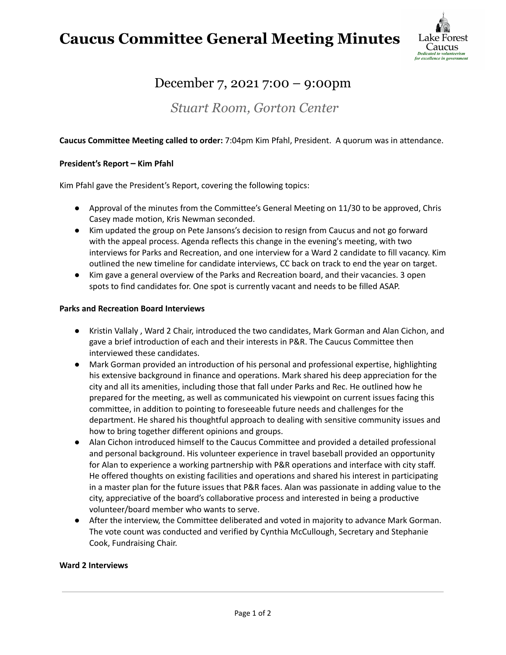## **Caucus Committee General Meeting Minutes**



### December 7, 2021 7:00 – 9:00pm

*Stuart Room, Gorton Center*

#### **Caucus Committee Meeting called to order:** 7:04pm Kim Pfahl, President. A quorum was in attendance.

#### **President's Report – Kim Pfahl**

Kim Pfahl gave the President's Report, covering the following topics:

- Approval of the minutes from the Committee's General Meeting on 11/30 to be approved, Chris Casey made motion, Kris Newman seconded.
- Kim updated the group on Pete Jansons's decision to resign from Caucus and not go forward with the appeal process. Agenda reflects this change in the evening's meeting, with two interviews for Parks and Recreation, and one interview for a Ward 2 candidate to fill vacancy. Kim outlined the new timeline for candidate interviews, CC back on track to end the year on target.
- Kim gave a general overview of the Parks and Recreation board, and their vacancies. 3 open spots to find candidates for. One spot is currently vacant and needs to be filled ASAP.

#### **Parks and Recreation Board Interviews**

- Kristin Vallaly , Ward 2 Chair, introduced the two candidates, Mark Gorman and Alan Cichon, and gave a brief introduction of each and their interests in P&R. The Caucus Committee then interviewed these candidates.
- Mark Gorman provided an introduction of his personal and professional expertise, highlighting his extensive background in finance and operations. Mark shared his deep appreciation for the city and all its amenities, including those that fall under Parks and Rec. He outlined how he prepared for the meeting, as well as communicated his viewpoint on current issues facing this committee, in addition to pointing to foreseeable future needs and challenges for the department. He shared his thoughtful approach to dealing with sensitive community issues and how to bring together different opinions and groups.
- Alan Cichon introduced himself to the Caucus Committee and provided a detailed professional and personal background. His volunteer experience in travel baseball provided an opportunity for Alan to experience a working partnership with P&R operations and interface with city staff. He offered thoughts on existing facilities and operations and shared his interest in participating in a master plan for the future issues that P&R faces. Alan was passionate in adding value to the city, appreciative of the board's collaborative process and interested in being a productive volunteer/board member who wants to serve.
- After the interview, the Committee deliberated and voted in majority to advance Mark Gorman. The vote count was conducted and verified by Cynthia McCullough, Secretary and Stephanie Cook, Fundraising Chair.

#### **Ward 2 Interviews**